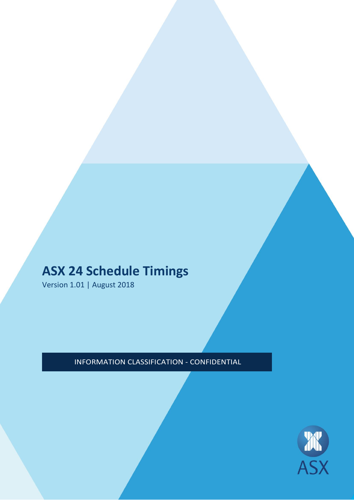# **ASX 24 Schedule Timings**

Version 1.01 | August 2018

# INFORMATION CLASSIFICATION - CONFIDENTIAL

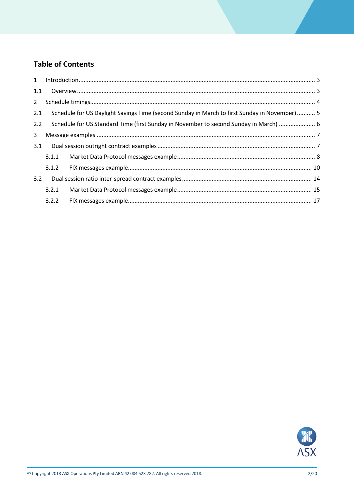# **Table of Contents**

| 1.1         |                                                                                               |  |  |  |  |  |
|-------------|-----------------------------------------------------------------------------------------------|--|--|--|--|--|
| $2^{\circ}$ |                                                                                               |  |  |  |  |  |
| 2.1         | Schedule for US Daylight Savings Time (second Sunday in March to first Sunday in November)  5 |  |  |  |  |  |
| 2.2         | Schedule for US Standard Time (first Sunday in November to second Sunday in March)  6         |  |  |  |  |  |
| 3           |                                                                                               |  |  |  |  |  |
| 3.1         |                                                                                               |  |  |  |  |  |
|             | 3.1.1                                                                                         |  |  |  |  |  |
|             |                                                                                               |  |  |  |  |  |
| 3.2         |                                                                                               |  |  |  |  |  |
|             | 3.2.1                                                                                         |  |  |  |  |  |
|             | 3.2.2                                                                                         |  |  |  |  |  |

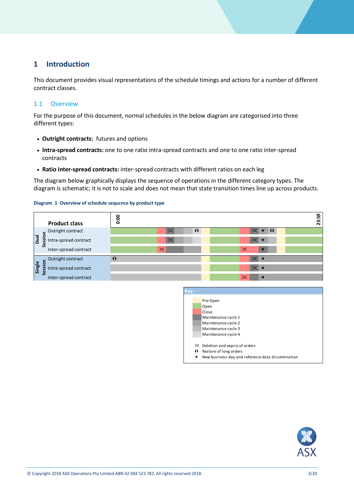## <span id="page-2-0"></span>**1 Introduction**

This document provides visual representations of the schedule timings and actions for a number of different contract classes.

### <span id="page-2-1"></span>1.1 Overview

For the purpose of this document, normal schedules in the below diagram are categorised into three different types:

- **Outright contracts:** futures and options
- **Intra-spread contracts:** one to one ratio intra-spread contracts and one to one ratio inter-spread contracts
- **Ratio inter-spread contracts:** inter-spread contracts with different ratios on each leg

The diagram below graphically displays the sequence of operations in the different category types. The diagram is schematic; it is not to scale and does not mean that state transition times line up across products.

#### **Diagram 1 Overview of schedule sequcnce by product type**





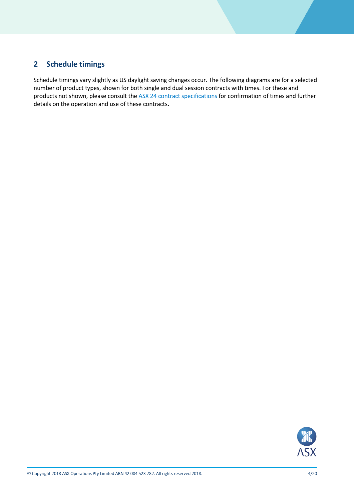# <span id="page-3-0"></span>**2 Schedule timings**

Schedule timings vary slightly as US daylight saving changes occur. The following diagrams are for a selected number of product types, shown for both single and dual session contracts with times. For these and products not shown, please consult the [ASX 24 contract specifications](http://www.asx.com.au/documents/rules/asx_24_schedules.pdf) for confirmation of times and further details on the operation and use of these contracts.

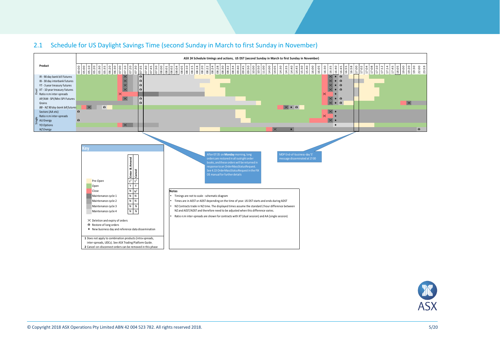

<span id="page-4-0"></span>

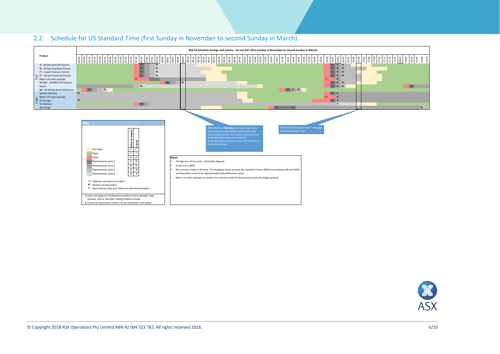<span id="page-5-0"></span>

#### 2.2 Schedule for US Standard Time (first Sunday in November to second Sunday in March)

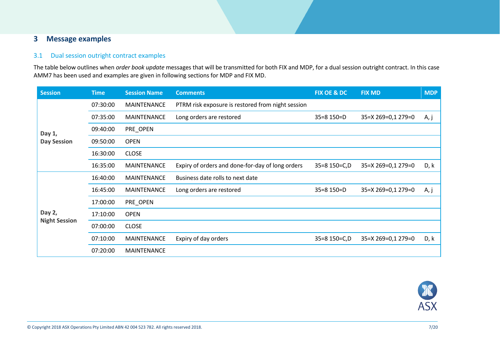### **3 Message examples**

#### 3.1 Dual session outright contract examples

The table below outlines when *order book update* messages that will be transmitted for both FIX and MDP, for a dual session outright contract. In this case AMM7 has been used and examples are given in following sections for MDP and FIX MD.

<span id="page-6-1"></span><span id="page-6-0"></span>

| <b>Session</b>       | <b>Time</b> | <b>Session Name</b> | <b>Comments</b>                                   | <b>FIX OE &amp; DC</b> | <b>FIX MD</b>      | <b>MDP</b> |
|----------------------|-------------|---------------------|---------------------------------------------------|------------------------|--------------------|------------|
|                      | 07:30:00    | <b>MAINTENANCE</b>  | PTRM risk exposure is restored from night session |                        |                    |            |
|                      | 07:35:00    | <b>MAINTENANCE</b>  | Long orders are restored                          | $35=8$ 150=D           | 35=X 269=0,1 279=0 | A, j       |
| Day 1,               | 09:40:00    | PRE_OPEN            |                                                   |                        |                    |            |
| <b>Day Session</b>   | 09:50:00    | <b>OPEN</b>         |                                                   |                        |                    |            |
|                      | 16:30:00    | <b>CLOSE</b>        |                                                   |                        |                    |            |
|                      | 16:35:00    | <b>MAINTENANCE</b>  | Expiry of orders and done-for-day of long orders  | 35=8 150=C,D           | 35=X 269=0,1 279=0 | D, k       |
|                      | 16:40:00    | <b>MAINTENANCE</b>  | Business date rolls to next date                  |                        |                    |            |
|                      | 16:45:00    | <b>MAINTENANCE</b>  | Long orders are restored                          | $35=8$ 150=D           | 35=X 269=0,1 279=0 | A, j       |
|                      | 17:00:00    | PRE_OPEN            |                                                   |                        |                    |            |
| Day 2,               | 17:10:00    | <b>OPEN</b>         |                                                   |                        |                    |            |
| <b>Night Session</b> | 07:00:00    | <b>CLOSE</b>        |                                                   |                        |                    |            |
|                      | 07:10:00    | <b>MAINTENANCE</b>  | Expiry of day orders                              | 35=8 150=C,D           | 35=X 269=0,1 279=0 | D, k       |
|                      | 07:20:00    | <b>MAINTENANCE</b>  |                                                   |                        |                    |            |

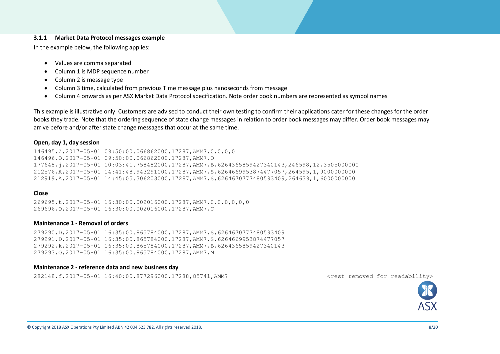#### **3.1.1 Market Data Protocol messages example**

In the example below, the following applies:

- Values are comma separated
- Column 1 is MDP sequence number
- Column 2 is message type
- Column 3 time, calculated from previous Time message plus nanoseconds from message
- Column 4 onwards as per ASX Market Data Protocol specification. Note order book numbers are represented as symbol names

This example is illustrative only. Customers are advised to conduct their own testing to confirm their applications cater for these changes for the order books they trade. Note that the ordering sequence of state change messages in relation to order book messages may differ. Order book messages may arrive before and/or after state change messages that occur at the same time.

#### **Open, day 1, day session**

146495,Z,2017-05-01 09:50:00.066862000,17287,AMM7,0,0,0,0 146496,O,2017-05-01 09:50:00.066862000,17287,AMM7,O 177648,j,2017-05-01 10:03:41.758482000,17287,AMM7,B,6264365859427340143,246598,12,3505000000 212576,A,2017-05-01 14:41:48.943291000,17287,AMM7,S,6264669953874477057,264595,1,9000000000 212919,A,2017-05-01 14:45:05.306203000,17287,AMM7,S,6264670777480593409,264639,1,6000000000

#### <span id="page-7-0"></span>**Close**

269695,t,2017-05-01 16:30:00.002016000,17287,AMM7,0,0,0,0,0,0 269696,O,2017-05-01 16:30:00.002016000,17287,AMM7,C

#### **Maintenance 1 - Removal of orders**

279290,D,2017-05-01 16:35:00.865784000,17287,AMM7,S,6264670777480593409 279291,D,2017-05-01 16:35:00.865784000,17287,AMM7,S,6264669953874477057 279292,k,2017-05-01 16:35:00.865784000,17287,AMM7,B,6264365859427340143 279293,O,2017-05-01 16:35:00.865784000,17287,AMM7,M

#### **Maintenance 2 - reference data and new business day**

282148,f,2017-05-01 16:40:00.877296000,17288,85741,AMM7 <rest removed for readability>

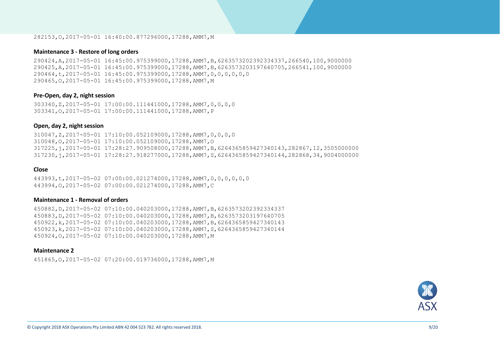#### 282153,O,2017-05-01 16:40:00.877296000,17288,AMM7,M

#### **Maintenance 3 - Restore of long orders**

290424,A,2017-05-01 16:45:00.975399000,17288,AMM7,B,6263573202392334337,266540,100,9000000 290425,A,2017-05-01 16:45:00.975399000,17288,AMM7,B,6263573203197640705,266541,100,9000000 290464,t,2017-05-01 16:45:00.975399000,17288,AMM7,0,0,0,0,0,0 290465,O,2017-05-01 16:45:00.975399000,17288,AMM7,M

#### **Pre-Open, day 2, night session**

303340,Z,2017-05-01 17:00:00.111441000,17288,AMM7,0,0,0,0 303341,O,2017-05-01 17:00:00.111441000,17288,AMM7,P

#### **Open, day 2, night session**

310047,Z,2017-05-01 17:10:00.052109000,17288,AMM7,0,0,0,0 310048,O,2017-05-01 17:10:00.052109000,17288,AMM7,O 317225,j,2017-05-01 17:28:27.909508000,17288,AMM7,B,6264365859427340143,282867,12,3505000000 317230,j,2017-05-01 17:28:27.918277000,17288,AMM7,S,6264365859427340144,282868,34,9004000000

#### **Close**

443993,t,2017-05-02 07:00:00.021274000,17288,AMM7,0,0,0,0,0,0 443994,O,2017-05-02 07:00:00.021274000,17288,AMM7,C

#### **Maintenance 1 - Removal of orders**

450882,D,2017-05-02 07:10:00.040203000,17288,AMM7,B,6263573202392334337 450883,D,2017-05-02 07:10:00.040203000,17288,AMM7,B,6263573203197640705 450922,k,2017-05-02 07:10:00.040203000,17288,AMM7,B,6264365859427340143 450923,k,2017-05-02 07:10:00.040203000,17288,AMM7,S,6264365859427340144 450924,O,2017-05-02 07:10:00.040203000,17288,AMM7,M

#### **Maintenance 2**

451865,O,2017-05-02 07:20:00.019736000,17288,AMM7,M

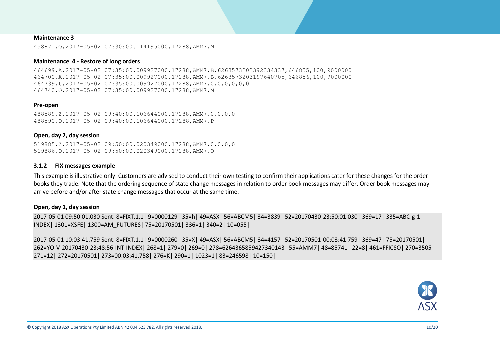#### **Maintenance 3**

458871,O,2017-05-02 07:30:00.114195000,17288,AMM7,M

#### **Maintenance 4 - Restore of long orders**

464699,A,2017-05-02 07:35:00.009927000,17288,AMM7,B,6263573202392334337,646855,100,9000000 464700,A,2017-05-02 07:35:00.009927000,17288,AMM7,B,6263573203197640705,646856,100,9000000 464739,t,2017-05-02 07:35:00.009927000,17288,AMM7,0,0,0,0,0,0 464740,O,2017-05-02 07:35:00.009927000,17288,AMM7,M

#### **Pre-open**

488589,Z,2017-05-02 09:40:00.106644000,17288,AMM7,0,0,0,0 488590,O,2017-05-02 09:40:00.106644000,17288,AMM7,P

#### **Open, day 2, day session**

519885,Z,2017-05-02 09:50:00.020349000,17288,AMM7,0,0,0,0 519886,O,2017-05-02 09:50:00.020349000,17288,AMM7,O

#### **3.1.2 FIX messages example**

This example is illustrative only. Customers are advised to conduct their own testing to confirm their applications cater for these changes for the order books they trade. Note that the ordering sequence of state change messages in relation to order book messages may differ. Order book messages may arrive before and/or after state change messages that occur at the same time.

#### **Open, day 1, day session**

2017-05-01 09:50:01.030 Sent: 8=FIXT.1.1| 9=0000129| 35=h| 49=ASX| 56=ABCM5| 34=3839| 52=20170430-23:50:01.030| 369=17| 335=ABC-g-1- INDEX| 1301=XSFE| 1300=AM\_FUTURES| 75=20170501| 336=1| 340=2| 10=055|

<span id="page-9-0"></span>2017-05-01 10:03:41.759 Sent: 8=FIXT.1.1| 9=0000260| 35=X| 49=ASX| 56=ABCM5| 34=4157| 52=20170501-00:03:41.759| 369=47| 75=20170501| 262=YO-V-20170430-23:48:56-INT-INDEX| 268=1| 279=0| 269=0| 278=6264365859427340143| 55=AMM7| 48=85741| 22=8| 461=FFICSO| 270=3505| 271=12| 272=20170501| 273=00:03:41.758| 276=K| 290=1| 1023=1| 83=246598| 10=150|

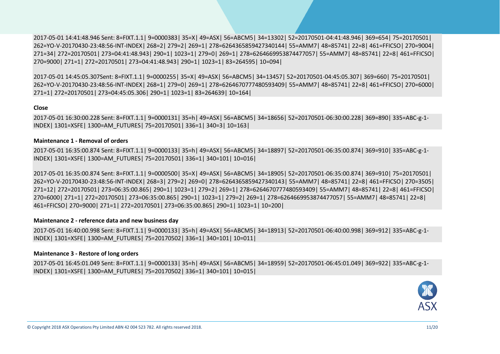2017-05-01 14:41:48.946 Sent: 8=FIXT.1.1| 9=0000383| 35=X| 49=ASX| 56=ABCM5| 34=13302| 52=20170501-04:41:48.946| 369=654| 75=20170501| 262=YO-V-20170430-23:48:56-INT-INDEX| 268=2| 279=2| 269=1| 278=6264365859427340144| 55=AMM7| 48=85741| 22=8| 461=FFICSO| 270=9004| 271=34| 272=20170501| 273=04:41:48.943| 290=1| 1023=1| 279=0| 269=1| 278=6264669953874477057| 55=AMM7| 48=85741| 22=8| 461=FFICSO| 270=9000| 271=1| 272=20170501| 273=04:41:48.943| 290=1| 1023=1| 83=264595| 10=094|

2017-05-01 14:45:05.307Sent: 8=FIXT.1.1| 9=0000255| 35=X| 49=ASX| 56=ABCM5| 34=13457| 52=20170501-04:45:05.307| 369=660| 75=20170501| 262=YO-V-20170430-23:48:56-INT-INDEX| 268=1| 279=0| 269=1| 278=6264670777480593409| 55=AMM7| 48=85741| 22=8| 461=FFICSO| 270=6000| 271=1| 272=20170501| 273=04:45:05.306| 290=1| 1023=1| 83=264639| 10=164|

#### **Close**

2017-05-01 16:30:00.228 Sent: 8=FIXT.1.1| 9=0000131| 35=h| 49=ASX| 56=ABCM5| 34=18656| 52=20170501-06:30:00.228| 369=890| 335=ABC-g-1- INDEX| 1301=XSFE| 1300=AM\_FUTURES| 75=20170501| 336=1| 340=3| 10=163|

#### **Maintenance 1 - Removal of orders**

2017-05-01 16:35:00.874 Sent: 8=FIXT.1.1| 9=0000133| 35=h| 49=ASX| 56=ABCM5| 34=18897| 52=20170501-06:35:00.874| 369=910| 335=ABC-g-1- INDEX| 1301=XSFE| 1300=AM\_FUTURES| 75=20170501| 336=1| 340=101| 10=016|

2017-05-01 16:35:00.874 Sent: 8=FIXT.1.1| 9=0000500| 35=X| 49=ASX| 56=ABCM5| 34=18905| 52=20170501-06:35:00.874| 369=910| 75=20170501| 262=YO-V-20170430-23:48:56-INT-INDEX| 268=3| 279=2| 269=0| 278=6264365859427340143| 55=AMM7| 48=85741| 22=8| 461=FFICSO| 270=3505| 271=12| 272=20170501| 273=06:35:00.865| 290=1| 1023=1| 279=2| 269=1| 278=6264670777480593409| 55=AMM7| 48=85741| 22=8| 461=FFICSO| 270=6000| 271=1| 272=20170501| 273=06:35:00.865| 290=1| 1023=1| 279=2| 269=1| 278=6264669953874477057| 55=AMM7| 48=85741| 22=8| 461=FFICSO| 270=9000| 271=1| 272=20170501| 273=06:35:00.865| 290=1| 1023=1| 10=200|

#### **Maintenance 2 - reference data and new business day**

2017-05-01 16:40:00.998 Sent: 8=FIXT.1.1| 9=0000133| 35=h| 49=ASX| 56=ABCM5| 34=18913| 52=20170501-06:40:00.998| 369=912| 335=ABC-g-1- INDEX| 1301=XSFE| 1300=AM\_FUTURES| 75=20170502| 336=1| 340=101| 10=011|

#### **Maintenance 3 - Restore of long orders**

2017-05-01 16:45:01.049 Sent: 8=FIXT.1.1| 9=0000133| 35=h| 49=ASX| 56=ABCM5| 34=18959| 52=20170501-06:45:01.049| 369=922| 335=ABC-g-1- INDEX| 1301=XSFE| 1300=AM\_FUTURES| 75=20170502| 336=1| 340=101| 10=015|

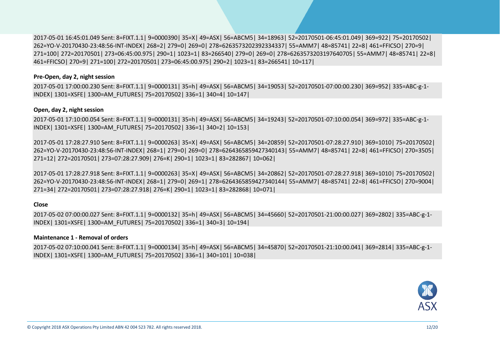2017-05-01 16:45:01.049 Sent: 8=FIXT.1.1| 9=0000390| 35=X| 49=ASX| 56=ABCM5| 34=18963| 52=20170501-06:45:01.049| 369=922| 75=20170502| 262=YO-V-20170430-23:48:56-INT-INDEX| 268=2| 279=0| 269=0| 278=6263573202392334337| 55=AMM7| 48=85741| 22=8| 461=FFICSO| 270=9| 271=100| 272=20170501| 273=06:45:00.975| 290=1| 1023=1| 83=266540| 279=0| 269=0| 278=6263573203197640705| 55=AMM7| 48=85741| 22=8| 461=FFICSO| 270=9| 271=100| 272=20170501| 273=06:45:00.975| 290=2| 1023=1| 83=266541| 10=117|

#### **Pre-Open, day 2, night session**

2017-05-01 17:00:00.230 Sent: 8=FIXT.1.1| 9=0000131| 35=h| 49=ASX| 56=ABCM5| 34=19053| 52=20170501-07:00:00.230| 369=952| 335=ABC-g-1- INDEX| 1301=XSFE| 1300=AM\_FUTURES| 75=20170502| 336=1| 340=4| 10=147|

#### **Open, day 2, night session**

2017-05-01 17:10:00.054 Sent: 8=FIXT.1.1| 9=0000131| 35=h| 49=ASX| 56=ABCM5| 34=19243| 52=20170501-07:10:00.054| 369=972| 335=ABC-g-1- INDEX| 1301=XSFE| 1300=AM\_FUTURES| 75=20170502| 336=1| 340=2| 10=153|

2017-05-01 17:28:27.910 Sent: 8=FIXT.1.1| 9=0000263| 35=X| 49=ASX| 56=ABCM5| 34=20859| 52=20170501-07:28:27.910| 369=1010| 75=20170502| 262=YO-V-20170430-23:48:56-INT-INDEX| 268=1| 279=0| 269=0| 278=6264365859427340143| 55=AMM7| 48=85741| 22=8| 461=FFICSO| 270=3505| 271=12| 272=20170501| 273=07:28:27.909| 276=K| 290=1| 1023=1| 83=282867| 10=062|

2017-05-01 17:28:27.918 Sent: 8=FIXT.1.1| 9=0000263| 35=X| 49=ASX| 56=ABCM5| 34=20862| 52=20170501-07:28:27.918| 369=1010| 75=20170502| 262=YO-V-20170430-23:48:56-INT-INDEX| 268=1| 279=0| 269=1| 278=6264365859427340144| 55=AMM7| 48=85741| 22=8| 461=FFICSO| 270=9004| 271=34| 272=20170501| 273=07:28:27.918| 276=K| 290=1| 1023=1| 83=282868| 10=071|

#### **Close**

2017-05-02 07:00:00.027 Sent: 8=FIXT.1.1| 9=0000132| 35=h| 49=ASX| 56=ABCM5| 34=45660| 52=20170501-21:00:00.027| 369=2802| 335=ABC-g-1- INDEX| 1301=XSFE| 1300=AM\_FUTURES| 75=20170502| 336=1| 340=3| 10=194|

#### **Maintenance 1 - Removal of orders**

2017-05-02 07:10:00.041 Sent: 8=FIXT.1.1| 9=0000134| 35=h| 49=ASX| 56=ABCM5| 34=45870| 52=20170501-21:10:00.041| 369=2814| 335=ABC-g-1- INDEX| 1301=XSFE| 1300=AM\_FUTURES| 75=20170502| 336=1| 340=101| 10=038|

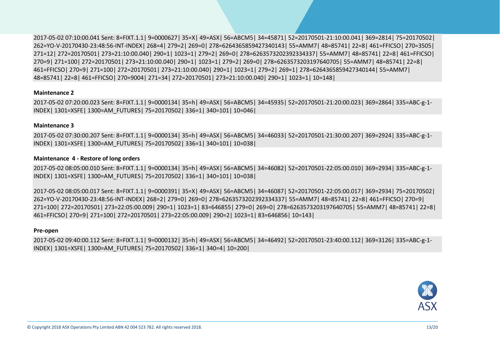2017-05-02 07:10:00.041 Sent: 8=FIXT.1.1| 9=0000627| 35=X| 49=ASX| 56=ABCM5| 34=45871| 52=20170501-21:10:00.041| 369=2814| 75=20170502| 262=YO-V-20170430-23:48:56-INT-INDEX| 268=4| 279=2| 269=0| 278=6264365859427340143| 55=AMM7| 48=85741| 22=8| 461=FFICSO| 270=3505| 271=12| 272=20170501| 273=21:10:00.040| 290=1| 1023=1| 279=2| 269=0| 278=6263573202392334337| 55=AMM7| 48=85741| 22=8| 461=FFICSO| 270=9| 271=100| 272=20170501| 273=21:10:00.040| 290=1| 1023=1| 279=2| 269=0| 278=6263573203197640705| 55=AMM7| 48=85741| 22=8| 461=FFICSO| 270=9| 271=100| 272=20170501| 273=21:10:00.040| 290=1| 1023=1| 279=2| 269=1| 278=6264365859427340144| 55=AMM7| 48=85741| 22=8| 461=FFICSO| 270=9004| 271=34| 272=20170501| 273=21:10:00.040| 290=1| 1023=1| 10=148|

#### **Maintenance 2**

2017-05-02 07:20:00.023 Sent: 8=FIXT.1.1| 9=0000134| 35=h| 49=ASX| 56=ABCM5| 34=45935| 52=20170501-21:20:00.023| 369=2864| 335=ABC-g-1- INDEX| 1301=XSFE| 1300=AM\_FUTURES| 75=20170502| 336=1| 340=101| 10=046|

#### **Maintenance 3**

2017-05-02 07:30:00.207 Sent: 8=FIXT.1.1| 9=0000134| 35=h| 49=ASX| 56=ABCM5| 34=46033| 52=20170501-21:30:00.207| 369=2924| 335=ABC-g-1- INDEX| 1301=XSFE| 1300=AM\_FUTURES| 75=20170502| 336=1| 340=101| 10=038|

#### **Maintenance 4 - Restore of long orders**

2017-05-02 08:05:00.010 Sent: 8=FIXT.1.1| 9=0000134| 35=h| 49=ASX| 56=ABCM5| 34=46082| 52=20170501-22:05:00.010| 369=2934| 335=ABC-g-1- INDEX| 1301=XSFE| 1300=AM\_FUTURES| 75=20170502| 336=1| 340=101| 10=038|

2017-05-02 08:05:00.017 Sent: 8=FIXT.1.1| 9=0000391| 35=X| 49=ASX| 56=ABCM5| 34=46087| 52=20170501-22:05:00.017| 369=2934| 75=20170502| 262=YO-V-20170430-23:48:56-INT-INDEX| 268=2| 279=0| 269=0| 278=6263573202392334337| 55=AMM7| 48=85741| 22=8| 461=FFICSO| 270=9| 271=100| 272=20170501| 273=22:05:00.009| 290=1| 1023=1| 83=646855| 279=0| 269=0| 278=6263573203197640705| 55=AMM7| 48=85741| 22=8| 461=FFICSO| 270=9| 271=100| 272=20170501| 273=22:05:00.009| 290=2| 1023=1| 83=646856| 10=143|

#### **Pre-open**

2017-05-02 09:40:00.112 Sent: 8=FIXT.1.1| 9=0000132| 35=h| 49=ASX| 56=ABCM5| 34=46492| 52=20170501-23:40:00.112| 369=3126| 335=ABC-g-1- INDEX| 1301=XSFE| 1300=AM\_FUTURES| 75=20170502| 336=1| 340=4| 10=200|

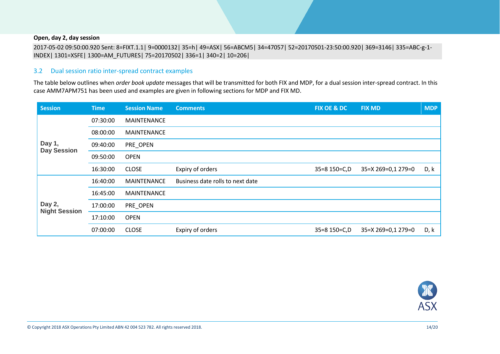#### **Open, day 2, day session**

2017-05-02 09:50:00.920 Sent: 8=FIXT.1.1| 9=0000132| 35=h| 49=ASX| 56=ABCM5| 34=47057| 52=20170501-23:50:00.920| 369=3146| 335=ABC-g-1- INDEX| 1301=XSFE| 1300=AM\_FUTURES| 75=20170502| 336=1| 340=2| 10=206|

#### 3.2 Dual session ratio inter-spread contract examples

The table below outlines when *order book update* messages that will be transmitted for both FIX and MDP, for a dual session inter-spread contract. In this case AMM7APM751 has been used and examples are given in following sections for MDP and FIX MD.

<span id="page-13-0"></span>

| <b>Session</b>                 | <b>Time</b> | <b>Session Name</b> | <b>Comments</b>                  | FIX OE & DC  | <b>FIX MD</b>      | <b>MDP</b> |
|--------------------------------|-------------|---------------------|----------------------------------|--------------|--------------------|------------|
|                                | 07:30:00    | <b>MAINTENANCE</b>  |                                  |              |                    |            |
|                                | 08:00:00    | <b>MAINTENANCE</b>  |                                  |              |                    |            |
| Day 1,<br><b>Day Session</b>   | 09:40:00    | PRE_OPEN            |                                  |              |                    |            |
|                                | 09:50:00    | <b>OPEN</b>         |                                  |              |                    |            |
|                                | 16:30:00    | <b>CLOSE</b>        | Expiry of orders                 | 35=8 150=C,D | 35=X 269=0,1 279=0 | D, k       |
|                                | 16:40:00    | <b>MAINTENANCE</b>  | Business date rolls to next date |              |                    |            |
|                                | 16:45:00    | <b>MAINTENANCE</b>  |                                  |              |                    |            |
| Day 2,<br><b>Night Session</b> | 17:00:00    | PRE_OPEN            |                                  |              |                    |            |
|                                | 17:10:00    | <b>OPEN</b>         |                                  |              |                    |            |
|                                | 07:00:00    | <b>CLOSE</b>        | Expiry of orders                 | 35=8 150=C,D | 35=X 269=0,1 279=0 | D, k       |

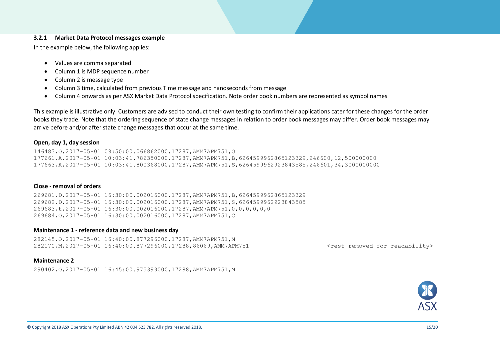#### **3.2.1 Market Data Protocol messages example**

In the example below, the following applies:

- Values are comma separated
- Column 1 is MDP sequence number
- Column 2 is message type
- Column 3 time, calculated from previous Time message and nanoseconds from message
- Column 4 onwards as per ASX Market Data Protocol specification. Note order book numbers are represented as symbol names

This example is illustrative only. Customers are advised to conduct their own testing to confirm their applications cater for these changes for the order books they trade. Note that the ordering sequence of state change messages in relation to order book messages may differ. Order book messages may arrive before and/or after state change messages that occur at the same time.

#### **Open, day 1, day session**

146483,O,2017-05-01 09:50:00.066862000,17287,AMM7APM751,O 177661,A,2017-05-01 10:03:41.786350000,17287,AMM7APM751,B,6264599962865123329,246600,12,500000000 177663,A,2017-05-01 10:03:41.800368000,17287,AMM7APM751,S,6264599962923843585,246601,34,3000000000

#### <span id="page-14-0"></span>**Close - removal of orders**

269681,D,2017-05-01 16:30:00.002016000,17287,AMM7APM751,B,6264599962865123329 269682,D,2017-05-01 16:30:00.002016000,17287,AMM7APM751,S,6264599962923843585 269683,t,2017-05-01 16:30:00.002016000,17287,AMM7APM751,0,0,0,0,0,0 269684,O,2017-05-01 16:30:00.002016000,17287,AMM7APM751,C

#### **Maintenance 1 - reference data and new business day**

282145,O,2017-05-01 16:40:00.877296000,17287,AMM7APM751,M 282170,M,2017-05-01 16:40:00.877296000,17288,86069,AMM7APM751 <rest removed for readability>

#### **Maintenance 2**

290402,O,2017-05-01 16:45:00.975399000,17288,AMM7APM751,M

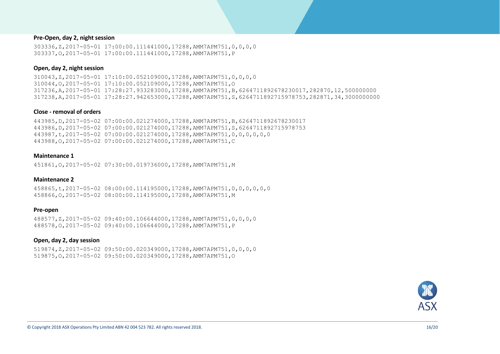#### **Pre-Open, day 2, night session**

303336,Z,2017-05-01 17:00:00.111441000,17288,AMM7APM751,0,0,0,0 303337,O,2017-05-01 17:00:00.111441000,17288,AMM7APM751,P

#### **Open, day 2, night session**

310043,Z,2017-05-01 17:10:00.052109000,17288,AMM7APM751,0,0,0,0 310044,O,2017-05-01 17:10:00.052109000,17288,AMM7APM751,O 317236,A,2017-05-01 17:28:27.933283000,17288,AMM7APM751,B,6264711892678230017,282870,12,500000000 317238,A,2017-05-01 17:28:27.942653000,17288,AMM7APM751,S,6264711892715978753,282871,34,3000000000

#### **Close - removal of orders**

443985,D,2017-05-02 07:00:00.021274000,17288,AMM7APM751,B,6264711892678230017 443986,D,2017-05-02 07:00:00.021274000,17288,AMM7APM751,S,6264711892715978753 443987,t,2017-05-02 07:00:00.021274000,17288,AMM7APM751,0,0,0,0,0,0 443988,O,2017-05-02 07:00:00.021274000,17288,AMM7APM751,C

#### **Maintenance 1**

451861,O,2017-05-02 07:30:00.019736000,17288,AMM7APM751,M

#### **Maintenance 2**

458865,t,2017-05-02 08:00:00.114195000,17288,AMM7APM751,0,0,0,0,0,0 458866,O,2017-05-02 08:00:00.114195000,17288,AMM7APM751,M

#### **Pre-open**

488577,Z,2017-05-02 09:40:00.106644000,17288,AMM7APM751,0,0,0,0 488578,O,2017-05-02 09:40:00.106644000,17288,AMM7APM751,P

#### **Open, day 2, day session**

519874,Z,2017-05-02 09:50:00.020349000,17288,AMM7APM751,0,0,0,0 519875,O,2017-05-02 09:50:00.020349000,17288,AMM7APM751,O

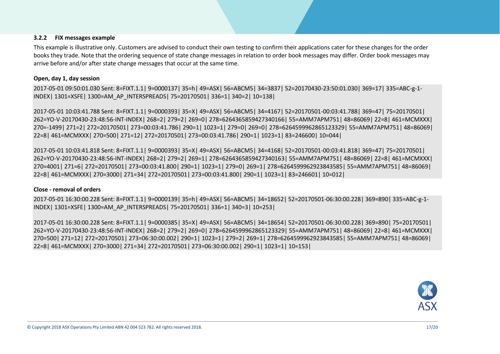#### **3.2.2 FIX messages example**

This example is illustrative only. Customers are advised to conduct their own testing to confirm their applications cater for these changes for the order books they trade. Note that the ordering sequence of state change messages in relation to order book messages may differ. Order book messages may arrive before and/or after state change messages that occur at the same time.

#### **Open, day 1, day session**

2017-05-01 09:50:01.030 Sent: 8=FIXT.1.1| 9=0000137| 35=h| 49=ASX| 56=ABCM5| 34=3837| 52=20170430-23:50:01.030| 369=17| 335=ABC-g-1- INDEX| 1301=XSFE| 1300=AM\_AP\_INTERSPREADS| 75=20170501| 336=1| 340=2| 10=138|

2017-05-01 10:03:41.788 Sent: 8=FIXT.1.1| 9=0000393| 35=X| 49=ASX| 56=ABCM5| 34=4167| 52=20170501-00:03:41.788| 369=47| 75=20170501| 262=YO-V-20170430-23:48:56-INT-INDEX| 268=2| 279=2| 269=0| 278=6264365859427340166| 55=AMM7APM751| 48=86069| 22=8| 461=MCMXXX| 270=-1499| 271=2| 272=20170501| 273=00:03:41.786| 290=1| 1023=1| 279=0| 269=0| 278=6264599962865123329| 55=AMM7APM751| 48=86069| 22=8| 461=MCMXXX| 270=500| 271=12| 272=20170501| 273=00:03:41.786| 290=1| 1023=1| 83=246600| 10=044|

2017-05-01 10:03:41.818 Sent: 8=FIXT.1.1| 9=0000393| 35=X| 49=ASX| 56=ABCM5| 34=4168| 52=20170501-00:03:41.818| 369=47| 75=20170501| 262=YO-V-20170430-23:48:56-INT-INDEX| 268=2| 279=2| 269=1| 278=6264365859427340163| 55=AMM7APM751| 48=86069| 22=8| 461=MCMXXX| 270=4001| 271=6| 272=20170501| 273=00:03:41.800| 290=1| 1023=1| 279=0| 269=1| 278=6264599962923843585| 55=AMM7APM751| 48=86069| 22=8| 461=MCMXXX| 270=3000| 271=34| 272=20170501| 273=00:03:41.800| 290=1| 1023=1| 83=246601| 10=012|

#### <span id="page-16-0"></span>**Close - removal of orders**

2017-05-01 16:30:00.228 Sent: 8=FIXT.1.1| 9=0000139| 35=h| 49=ASX| 56=ABCM5| 34=18652| 52=20170501-06:30:00.228| 369=890| 335=ABC-g-1- INDEX| 1301=XSFE| 1300=AM\_AP\_INTERSPREADS| 75=20170501| 336=1| 340=3| 10=253|

2017-05-01 16:30:00.228 Sent: 8=FIXT.1.1| 9=0000385| 35=X| 49=ASX| 56=ABCM5| 34=18654| 52=20170501-06:30:00.228| 369=890| 75=20170501| 262=YO-V-20170430-23:48:56-INT-INDEX| 268=2| 279=2| 269=0| 278=6264599962865123329| 55=AMM7APM751| 48=86069| 22=8| 461=MCMXXX| 270=500| 271=12| 272=20170501| 273=06:30:00.002| 290=1| 1023=1| 279=2| 269=1| 278=6264599962923843585| 55=AMM7APM751| 48=86069| 22=8| 461=MCMXXX| 270=3000| 271=34| 272=20170501| 273=06:30:00.002| 290=1| 1023=1| 10=153|

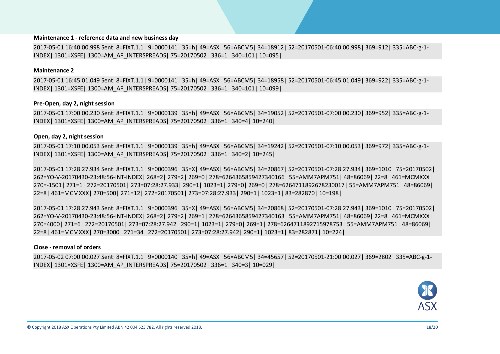#### **Maintenance 1 - reference data and new business day**

2017-05-01 16:40:00.998 Sent: 8=FIXT.1.1| 9=0000141| 35=h| 49=ASX| 56=ABCM5| 34=18912| 52=20170501-06:40:00.998| 369=912| 335=ABC-g-1- INDEX| 1301=XSFE| 1300=AM\_AP\_INTERSPREADS| 75=20170502| 336=1| 340=101| 10=095|

#### **Maintenance 2**

2017-05-01 16:45:01.049 Sent: 8=FIXT.1.1| 9=0000141| 35=h| 49=ASX| 56=ABCM5| 34=18958| 52=20170501-06:45:01.049| 369=922| 335=ABC-g-1- INDEX| 1301=XSFE| 1300=AM\_AP\_INTERSPREADS| 75=20170502| 336=1| 340=101| 10=099|

#### **Pre-Open, day 2, night session**

2017-05-01 17:00:00.230 Sent: 8=FIXT.1.1| 9=0000139| 35=h| 49=ASX| 56=ABCM5| 34=19052| 52=20170501-07:00:00.230| 369=952| 335=ABC-g-1- INDEX| 1301=XSFE| 1300=AM\_AP\_INTERSPREADS| 75=20170502| 336=1| 340=4| 10=240|

#### **Open, day 2, night session**

2017-05-01 17:10:00.053 Sent: 8=FIXT.1.1| 9=0000139| 35=h| 49=ASX| 56=ABCM5| 34=19242| 52=20170501-07:10:00.053| 369=972| 335=ABC-g-1- INDEX| 1301=XSFE| 1300=AM\_AP\_INTERSPREADS| 75=20170502| 336=1| 340=2| 10=245|

2017-05-01 17:28:27.934 Sent: 8=FIXT.1.1| 9=0000396| 35=X| 49=ASX| 56=ABCM5| 34=20867| 52=20170501-07:28:27.934| 369=1010| 75=20170502| 262=YO-V-20170430-23:48:56-INT-INDEX| 268=2| 279=2| 269=0| 278=6264365859427340166| 55=AMM7APM751| 48=86069| 22=8| 461=MCMXXX| 270=-1501| 271=1| 272=20170501| 273=07:28:27.933| 290=1| 1023=1| 279=0| 269=0| 278=6264711892678230017| 55=AMM7APM751| 48=86069| 22=8| 461=MCMXXX| 270=500| 271=12| 272=20170501| 273=07:28:27.933| 290=1| 1023=1| 83=282870| 10=198|

2017-05-01 17:28:27.943 Sent: 8=FIXT.1.1| 9=0000396| 35=X| 49=ASX| 56=ABCM5| 34=20868| 52=20170501-07:28:27.943| 369=1010| 75=20170502| 262=YO-V-20170430-23:48:56-INT-INDEX| 268=2| 279=2| 269=1| 278=6264365859427340163| 55=AMM7APM751| 48=86069| 22=8| 461=MCMXXX| 270=4000| 271=6| 272=20170501| 273=07:28:27.942| 290=1| 1023=1| 279=0| 269=1| 278=6264711892715978753| 55=AMM7APM751| 48=86069| 22=8| 461=MCMXXX| 270=3000| 271=34| 272=20170501| 273=07:28:27.942| 290=1| 1023=1| 83=282871| 10=224|

#### **Close - removal of orders**

2017-05-02 07:00:00.027 Sent: 8=FIXT.1.1| 9=0000140| 35=h| 49=ASX| 56=ABCM5| 34=45657| 52=20170501-21:00:00.027| 369=2802| 335=ABC-g-1- INDEX| 1301=XSFE| 1300=AM\_AP\_INTERSPREADS| 75=20170502| 336=1| 340=3| 10=029|

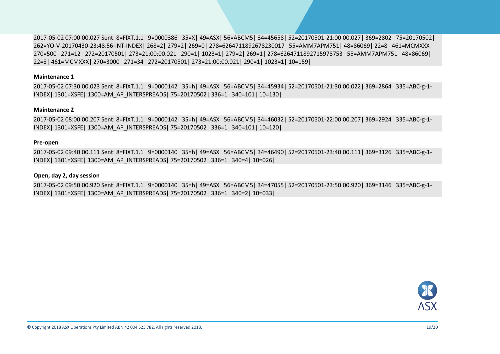2017-05-02 07:00:00.027 Sent: 8=FIXT.1.1| 9=0000386| 35=X| 49=ASX| 56=ABCM5| 34=45658| 52=20170501-21:00:00.027| 369=2802| 75=20170502| 262=YO-V-20170430-23:48:56-INT-INDEX| 268=2| 279=2| 269=0| 278=6264711892678230017| 55=AMM7APM751| 48=86069| 22=8| 461=MCMXXX| 270=500| 271=12| 272=20170501| 273=21:00:00.021| 290=1| 1023=1| 279=2| 269=1| 278=6264711892715978753| 55=AMM7APM751| 48=86069| 22=8| 461=MCMXXX| 270=3000| 271=34| 272=20170501| 273=21:00:00.021| 290=1| 1023=1| 10=159|

#### **Maintenance 1**

2017-05-02 07:30:00.023 Sent: 8=FIXT.1.1| 9=0000142| 35=h| 49=ASX| 56=ABCM5| 34=45934| 52=20170501-21:30:00.022| 369=2864| 335=ABC-g-1- INDEX| 1301=XSFE| 1300=AM\_AP\_INTERSPREADS| 75=20170502| 336=1| 340=101| 10=130|

#### **Maintenance 2**

2017-05-02 08:00:00.207 Sent: 8=FIXT.1.1| 9=0000142| 35=h| 49=ASX| 56=ABCM5| 34=46032| 52=20170501-22:00:00.207| 369=2924| 335=ABC-g-1- INDEX| 1301=XSFE| 1300=AM\_AP\_INTERSPREADS| 75=20170502| 336=1| 340=101| 10=120|

#### **Pre-open**

2017-05-02 09:40:00.111 Sent: 8=FIXT.1.1| 9=0000140| 35=h| 49=ASX| 56=ABCM5| 34=46490| 52=20170501-23:40:00.111| 369=3126| 335=ABC-g-1- INDEX| 1301=XSFE| 1300=AM\_AP\_INTERSPREADS| 75=20170502| 336=1| 340=4| 10=026|

#### **Open, day 2, day session**

2017-05-02 09:50:00.920 Sent: 8=FIXT.1.1| 9=0000140| 35=h| 49=ASX| 56=ABCM5| 34=47055| 52=20170501-23:50:00.920| 369=3146| 335=ABC-g-1- INDEX| 1301=XSFE| 1300=AM\_AP\_INTERSPREADS| 75=20170502| 336=1| 340=2| 10=033|